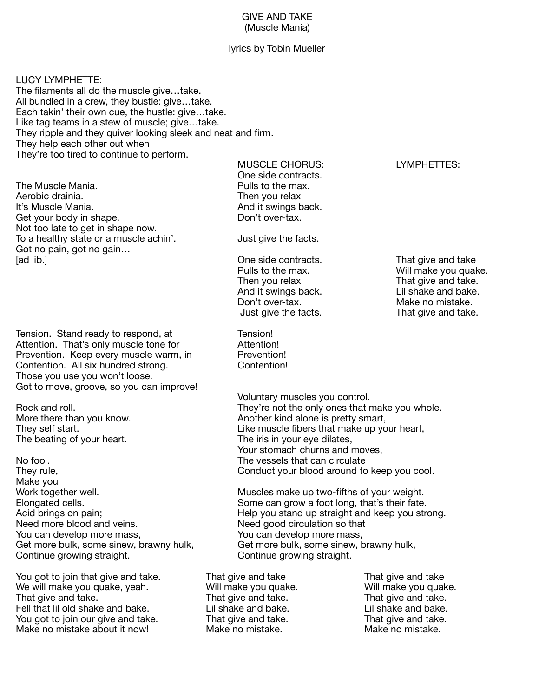## GIVE AND TAKE (Muscle Mania)

## lyrics by Tobin Mueller

LUCY LYMPHETTE: The filaments all do the muscle give…take. All bundled in a crew, they bustle: give…take. Each takin' their own cue, the hustle: give…take. Like tag teams in a stew of muscle; give…take. They ripple and they quiver looking sleek and neat and firm. They help each other out when They're too tired to continue to perform.

The Muscle Mania.  $\blacksquare$   $\blacksquare$   $\blacksquare$  Pulls to the max. Aerobic drainia. **Then you relax** It's Muscle Mania. And it swings back. Get your body in shape. Not too late to get in shape now. To a healthy state or a muscle achin'. Just give the facts. Got no pain, got no gain… [ad lib.] *If* and take  *Constanting Conducts* One side contracts. *That give and take If* and take

Tension. Stand ready to respond, at Tension! Attention. That's only muscle tone for **Attention!** Prevention. Keep every muscle warm, in Prevention! Contention. All six hundred strong. Contention! Those you use you won't loose. Got to move, groove, so you can improve! 

The beating of your heart. The iris in your eye dilates,

No fool. The vessels that can circulate Make you You can develop more mass, example a You can develop more mass, Get more bulk, some sinew, brawny hulk, Get more bulk, some sinew, brawny hulk, Continue growing straight. *Continue growing straight.* 

You got to join that give and take. That give and take That give and take We will make you quake, yeah. Will make you quake. Will make you quake. That give and take. That give and take. That give and take. That give and take. Fell that lil old shake and bake.  $\qquad \qquad$  Lil shake and bake.  $\qquad \qquad$  Lil shake and bake. You got to join our give and take. That give and take. That give and take. Make no mistake about it now! Make no mistake. Make no mistake.

MUSCLE CHORUS: LYMPHETTES: One side contracts.

Then you relax and take.<br>
And it swings back. That give and bake. And it swings back. Don't over-tax. Nake no mistake. Just give the facts. That give and take.

 Voluntary muscles you control. Rock and roll. **They're not the only ones that make you whole.** They're not the only ones that make you whole. More there than you know. The same of the state of the Another kind alone is pretty smart, They self start. They self start. They self start, which is a start of the Like muscle fibers that make up your heart, Your stomach churns and moves, They rule, **They rule**, *Conduct your blood around to keep you cool.* 

Work together well. *Nuscles make up two-fifths of your weight.* Elongated cells. **Elongated cells** and the state of the some can grow a foot long, that's their fate. Acid brings on pain; <br>
Need more blood and veins. 
Need good circulation so that  $\blacksquare$ Need good circulation so that

Pulls to the max. Will make you quake.